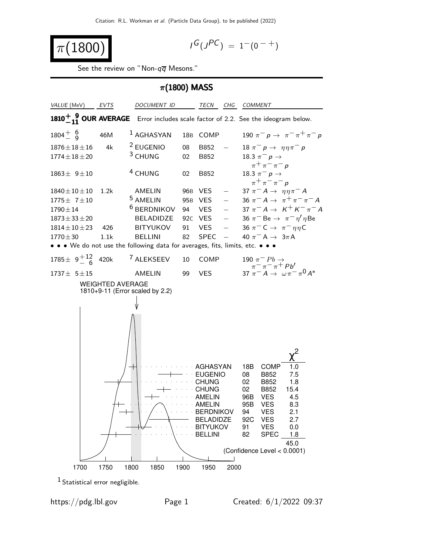$$
\pi(1800)
$$

$$
I^G(J^{PC}) = 1^-(0^{-+})
$$

See the review on "Non- $q\overline{q}$  Mesons."



1 Statistical error negligible.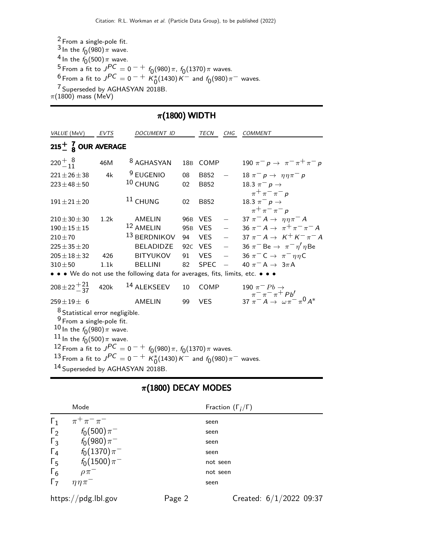2 From a single-pole fit.  $\frac{3}{1}$ In the  $f_0(980)\pi$  wave. <sup>4</sup> In the  $f_0(500)\pi$  wave. <sup>5</sup> From a fit to  $J^{PC} = 0^{-+}$   $f_0(980) \pi$ ,  $f_0(1370) \pi$  waves.  $^{6}$  From a fit to  $J^{PC} = 0^{-+} K_{0}^{*}(1430) K^{-}$  and  $f_{0}(980) \pi^{-}$  waves. 7 Superseded by AGHASYAN 2018B.  $\pi$ (1800) mass (MeV)

## $\pi$ (1800) WIDTH

| VALUE (MeV)                                                                                                                                                      | EVTS | DOCUMENT ID                                                                                                                                                |                 | <b>TECN</b> | CHG                             | <b>COMMENT</b>                                                                                           |
|------------------------------------------------------------------------------------------------------------------------------------------------------------------|------|------------------------------------------------------------------------------------------------------------------------------------------------------------|-----------------|-------------|---------------------------------|----------------------------------------------------------------------------------------------------------|
| $215^{+}_{-}$ $_{8}^{7}$ OUR AVERAGE                                                                                                                             |      |                                                                                                                                                            |                 |             |                                 |                                                                                                          |
| $220^{+}_{-11}^{8}$                                                                                                                                              | 46M  | <sup>8</sup> AGHASYAN                                                                                                                                      |                 | 18B COMP    |                                 | 190 $\pi^- p \to \pi^- \pi^+ \pi^- p$                                                                    |
| $221 \pm 26 \pm 38$                                                                                                                                              | 4k   | <sup>9</sup> EUGENIO                                                                                                                                       | 08              | B852        |                                 | 18 $\pi^- p \rightarrow \eta \eta \pi^- p$                                                               |
| $223 \pm 48 \pm 50$                                                                                                                                              |      | 10 CHUNG                                                                                                                                                   | 02              | B852        |                                 | 18.3 $\pi^{-} p \to$                                                                                     |
| $191 \pm 21 \pm 20$                                                                                                                                              |      | <sup>11</sup> CHUNG                                                                                                                                        | 02              | B852        |                                 | $\pi^+\pi^-\pi^-$<br>18.3 $\pi^-$ p $\rightarrow$<br>$\pi^+\pi^-\pi^-$ p                                 |
| $210 \pm 30 \pm 30$                                                                                                                                              | 1.2k | AMELIN                                                                                                                                                     |                 | 96B VES     | $\frac{1}{2}$ and $\frac{1}{2}$ | 37 $\pi^- A \rightarrow \eta \eta \pi^- A$                                                               |
| $190 \pm 15 \pm 15$                                                                                                                                              |      | 12 AMELIN                                                                                                                                                  | 95 <sub>B</sub> | VES         |                                 | $-$ 36 $\pi^- A \to \pi^+ \pi^- \pi^- A$                                                                 |
| $210 + 70$                                                                                                                                                       |      | <sup>13</sup> BERDNIKOV                                                                                                                                    | 94              | <b>VES</b>  |                                 | $-$ 37 $\pi^- A \to K^+ K^- \pi^- A$                                                                     |
| $225 \pm 35 \pm 20$                                                                                                                                              |      | BELADIDZE                                                                                                                                                  |                 | 92c VES     |                                 | $-$ 36 $\pi$ <sup>-</sup> Be $\rightarrow \pi$ <sup>-</sup> $\eta'$ $\eta$ Be                            |
| $205 \pm 18 \pm 32$                                                                                                                                              | 426  | <b>BITYUKOV</b>                                                                                                                                            | 91              | <b>VES</b>  |                                 | $-$ 36 $\pi$ <sup>-</sup> C $\rightarrow \pi$ <sup>-</sup> $\eta \eta$ C                                 |
| $310 + 50$                                                                                                                                                       | 1.1k | <b>BELLINI</b>                                                                                                                                             | 82              | <b>SPEC</b> | $\overline{\phantom{0}}$        | 40 $\pi$ <sup>-</sup> A $\rightarrow$ 3 $\pi$ A                                                          |
|                                                                                                                                                                  |      | • • • We do not use the following data for averages, fits, limits, etc. • • •                                                                              |                 |             |                                 |                                                                                                          |
| $208 \pm 22 \frac{+21}{37}$ 420k                                                                                                                                 |      | $^{14}$ ALEKSEEV                                                                                                                                           | 10              | COMP        |                                 | 190 $\pi^- Pb \rightarrow$<br>$\pi^- \pi^- \pi^+ Pb'$<br>37 $\pi^- A \rightarrow \omega \pi^- \pi^0 A^*$ |
| $259\pm19\pm$ 6                                                                                                                                                  |      | AMELIN                                                                                                                                                     | 99              | <b>VES</b>  |                                 |                                                                                                          |
| <sup>8</sup> Statistical error negligible.<br><sup>9</sup> From a single-pole fit.<br>$^{10}$ In the $f_{0}(980)\pi$ wave.<br>$^{11}$ In the $f_0(500)\pi$ wave. |      | 12 From a fit to $J^{PC} = 0^{-+} f_0(980) \pi$ , $f_0(1370) \pi$ waves.<br>13 From a fit to $J^{PC} = 0^{-+} K_0^*(1430) K^-$ and $f_0(980) \pi^-$ waves. |                 |             |                                 |                                                                                                          |
| 14 Superseded by AGHASYAN 2018B.                                                                                                                                 |      |                                                                                                                                                            |                 |             |                                 |                                                                                                          |

## $\pi$ (1800) DECAY MODES

|            | Mode                    |        | Fraction $(\Gamma_i/\Gamma)$ |  |
|------------|-------------------------|--------|------------------------------|--|
| $\Gamma_1$ | $\pi^{+}\pi^{-}\pi^{-}$ |        | seen                         |  |
| $\Gamma_2$ | $f_0(500)\,\pi^-$       |        | seen                         |  |
| $\Gamma_3$ | $f_0(980)\pi^-$         |        | seen                         |  |
| $\Gamma_4$ | $f_0(1370)\pi^-$        |        | seen                         |  |
| $\Gamma_5$ | $f_0(1500)\pi^-$        |        | not seen                     |  |
| $\Gamma_6$ | $\rho\pi^-$             |        | not seen                     |  |
| $\Gamma_7$ | $\eta \eta \pi^-$       |        | seen                         |  |
|            | https://pdg.lbl.gov     | Page 2 | Created: $6/1/2022$ 09:37    |  |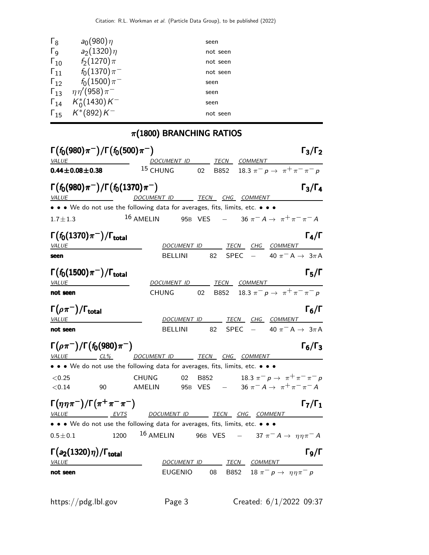| $\Gamma_8$            | $a_0(980)\eta$                      | seen     |
|-----------------------|-------------------------------------|----------|
| $\Gamma_{\mathsf{Q}}$ | $a_2(1320)\eta$                     | not seen |
| $\Gamma_{10}$         | $f_2(1270)\pi$                      | not seen |
| $\Gamma_{11}$         | $f_0(1370)\pi^-$                    | not seen |
| $\Gamma_{12}$         | $f_0(1500)\pi^-$                    | seen     |
|                       | $\Gamma_{13}$ $\eta\eta'(958)\pi^-$ | seen     |
|                       | $\Gamma_{14}$ $K_0^*(1430)K^-$      | seen     |
|                       | $\Gamma_{15}$ $K^*(892)K^-$         | not seen |
|                       |                                     |          |

## $\pi$ (1800) BRANCHING RATIOS

| $\Gamma(f_0(980)\pi^-)/\Gamma(f_0(500)\pi^-)$                                                                        | $\Gamma_3/\Gamma_2$                                                                                                                             |  |  |  |
|----------------------------------------------------------------------------------------------------------------------|-------------------------------------------------------------------------------------------------------------------------------------------------|--|--|--|
| <b>VALUE</b>                                                                                                         | DOCUMENT ID TECN COMMENT                                                                                                                        |  |  |  |
| $0.44 \pm 0.08 \pm 0.38$                                                                                             | $15$ CHUNG 02<br>B852 18.3 $\pi^ p \to \pi^+ \pi^- \pi^- p$                                                                                     |  |  |  |
| $\Gamma(f_0(980)\pi^-)/\Gamma(f_0(1370)\pi^-)$                                                                       | $\Gamma_3/\Gamma_4$<br><u>VALUE DOCUMENT ID TECN CHG COMMENT</u>                                                                                |  |  |  |
|                                                                                                                      | • • • We do not use the following data for averages, fits, limits, etc. • • •                                                                   |  |  |  |
| $1.7 \pm 1.3$                                                                                                        | $16$ AMELIN<br>95B VES $-$ 36 $\pi^- A \to \pi^+ \pi^- \pi^- A$                                                                                 |  |  |  |
| $\Gamma(f_0(1370)\pi^-)/\Gamma_{\rm total}$<br>VALUE                                                                 | $\Gamma_4/\Gamma$<br>DOCUMENT ID TECN CHG COMMENT                                                                                               |  |  |  |
| seen                                                                                                                 | $-$ 40 $\pi$ <sup>-</sup> A $\rightarrow$ 3 $\pi$ A<br><b>SPEC</b><br><b>BELLINI</b><br>82                                                      |  |  |  |
| $\Gamma(f_0(1500)\pi^{-})/\Gamma_{\rm total}$<br>VALUE                                                               | $\Gamma_5/\Gamma$<br>DOCUMENT ID TECN COMMENT                                                                                                   |  |  |  |
| not seen                                                                                                             | B852 18.3 $\pi^ p \to \pi^+ \pi^- \pi^ p$<br><b>CHUNG</b><br>02                                                                                 |  |  |  |
| $\Gamma(\rho\pi^-)/\Gamma_{\rm total}$<br><i>VALUE</i>                                                               | $\Gamma_6/\Gamma$<br>DOCUMENT ID TECN CHG COMMENT                                                                                               |  |  |  |
| not seen                                                                                                             | SPEC $-$ 40 $\pi$ <sup>-</sup> A $\rightarrow$ 3 $\pi$ A<br><b>BELLINI</b><br>82                                                                |  |  |  |
| $\Gamma(\rho \pi^{-})/\Gamma(f_0(980)\pi^{-})$                                                                       | $\Gamma_6/\Gamma_3$<br>VALUE CL% DOCUMENT ID TECN CHG COMMENT                                                                                   |  |  |  |
|                                                                                                                      | • • • We do not use the following data for averages, fits, limits, etc. • • •                                                                   |  |  |  |
| < 0.25<br>< 0.14<br>90                                                                                               | 18.3 $\pi^ p \to \pi^+ \pi^- \pi^- p$<br><b>CHUNG</b><br><b>B852</b><br>02<br>95B VES $-$ 36 $\pi^- A \to \pi^+ \pi^- \pi^- A$<br><b>AMELIN</b> |  |  |  |
| $\Gamma(\eta\eta\pi^-)/\Gamma(\pi^+\pi^-\pi^-)$<br>$\Gamma_7/\Gamma_1$<br>VALUE EVTS<br>DOCUMENT ID TECN CHG COMMENT |                                                                                                                                                 |  |  |  |
|                                                                                                                      | • • • We do not use the following data for averages, fits, limits, etc. • • •                                                                   |  |  |  |
| $0.5 \pm 0.1$                                                                                                        | $^{16}$ AMELIN 96B VES - 37 $\pi^- A \rightarrow \eta \eta \pi^- A$<br>1200                                                                     |  |  |  |
| $\Gamma(a_2(1320)\eta)/\Gamma_{\rm total}$<br>VALUE                                                                  | $\Gamma$ <sub>9</sub> /Γ<br>DOCUMENT ID<br><u>TECN COMMENT</u>                                                                                  |  |  |  |
| not seen                                                                                                             | B852 18 $\pi^- p \to \eta \eta \pi^- p$<br><b>EUGENIO</b><br>08                                                                                 |  |  |  |
|                                                                                                                      |                                                                                                                                                 |  |  |  |

https://pdg.lbl.gov Page 3 Created: 6/1/2022 09:37